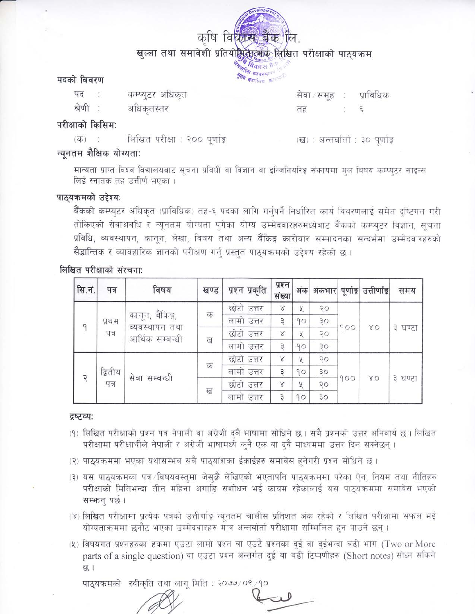

# पदको बिवरण

कम्प्यूटर अधिकत पद अधिकृतस्तर श्रेणी

सेवा समूह : प्राविधिक तह  $\epsilon$ 

# परीक्षाको किसिम:

लिखित परीक्षा : २०० पूर्णाङ्ग  $(\overline{d\overline{b}})$ 

(ख) : अन्तर्वातां : ३० पूर्णाङ्क

# न्यूनतम शैक्षिक योग्यता:

मान्यता प्राप्त विश्व विद्यालयबाट सूचना प्रविधी वा विज्ञान वा इन्जिनियरिङ्ग संकायमा मुल विषय कम्प्युटर साइन्स लिई स्नातक तह उत्तीर्ण भएका ।

# पाठ्यक्रमको उद्देश्य:

बैंकको कम्प्युटर अधिकृत (प्राविधिक) तह-६ पदका लागि गर्नुपर्ने निर्धारित कार्य विवरणलाई समेत दृष्टिगत गरी तोकिएको सेवाअवधि र न्यूनतम योग्यता पुगेका योग्य उम्मेदवारहरुमध्येबाट बैंकको कम्प्यूटर विज्ञान, सूचना प्रविधि, व्यवस्थापन, कानून, लेखा, विषय तथा अन्य बैंकिङ्ग कारोवार सम्पादनका सन्दर्भमा उम्मेदवारहरुको सैद्धान्तिक र व्यावहारिक ज्ञानको परीक्षण गर्न प्रस्तुत पाठयक्रमको उद्देश्य रहेको छ ।

# लिखित परीक्षाको संरचना:

| सि.नं.        | पत्र            | विषय                                                  | खण्ड | प्रश्न प्रकृति | प्रश्न<br>संख्या | अंक |                |     | अंकभार पूर्णाङ्ग उत्तीर्णाङ्ग | समय     |
|---------------|-----------------|-------------------------------------------------------|------|----------------|------------------|-----|----------------|-----|-------------------------------|---------|
| 9             | प्रथम<br>पत्र   | कानून, बैंकिङ्ग,<br>व्यवस्थापन तथा<br>आर्थिक सम्बन्धी | क    | छोटो उत्तर     | $\propto$        | У   | $\overline{Q}$ | 900 | 80                            | ३ घण्टा |
|               |                 |                                                       |      | लामो उत्तर     | $\overline{z}$   | 90  | ३०             |     |                               |         |
|               |                 |                                                       | ख    | छोटो उत्तर     | $\propto$        | У   | २०             |     |                               |         |
|               |                 |                                                       |      | लामो उत्तर     | $\overline{z}$   | 90  | 30             |     |                               |         |
| $\mathcal{R}$ | द्वितीय<br>पत्र | सेवा सम्बन्धी                                         | क    | छोटो उत्तर     | $\times$         | У   | २०             | 900 | 80                            | ३ घण्टा |
|               |                 |                                                       |      | लामो उत्तर     | Э                | 90  | ąо             |     |                               |         |
|               |                 |                                                       |      | छोटो उत्तर     | $\propto$        | У   | २०             |     |                               |         |
|               |                 |                                                       | ख    | लामो उत्तर     | з                | 90  | ЗO             |     |                               |         |

#### द्रष्टव्य:

- (१) लिखित परीक्षाको प्रश्न पत्र नेपाली वा अंग्रेजी दबै भाषामा सोधिने छ । सबै प्रश्नको उत्तर अनिवार्य छ । लिखित परीक्षामा परीक्षार्थीले नेपाली र अंग्रेजी भाषामध्ये क्नै एक वा दुवै माध्यममा उत्तर दिन सक्नेछन्।
- (२) पाठ्यक्रममा भएका यथासम्भव सबै पाठ्यांशका ईकाईहरु समावेस हुनेगरी प्रश्न सोधिने छ।
- (३) यस पाठ्यक्रमका पत्र विषयवस्तुमा जेसके लेखिएको भएतापनि पाठ्यक्रममा परेका ऐन, नियम तथा नीतिहरु परीक्षाको मितिभन्दा तीन महिना अगाडि संशोधन भई कायम रहेकालाई यस पाठयक्रममा समावेस भएको सम्भन् पर्छ।
- (४) लिखित परीक्षामा प्रत्येक पत्रको उत्तीर्णाङ्ग न्यूनतम चालीस प्रतिशत अंक रहेको र लिखित परीक्षामा सफल भई योग्यताक्रममा छनौट भएका उम्मेदवारहरु मात्र अन्तर्वार्ता परीक्षामा सम्मिलित हुन पाउने छन् ।
- (५) विषयगत प्रश्नहरुका हकमा एउटा लामो प्रश्न वा एउटै प्रश्नका दुई वा दुईभन्दा बढी भाग (Two or More parts of a single question) वा एउटा प्रश्न अन्तर्गत दुई वा बढी टिप्पणीहरु (Short notes) सोध्न सकिने छ।

पाठ्यक्रमको स्वीकृति तथा लागू मिति : २०७७/०९/१०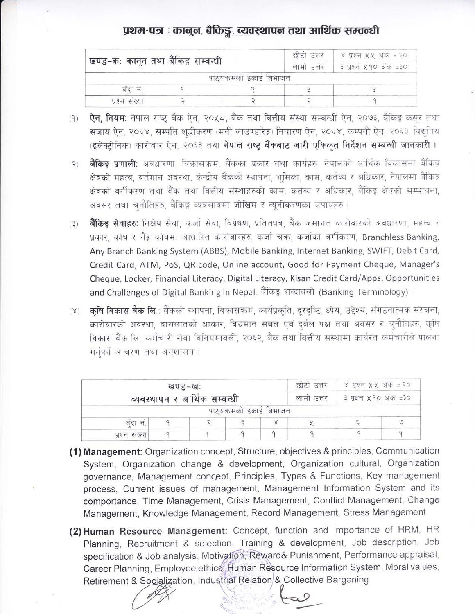# प्रथम-पत्र : कानुन, बैकिङ्ग, व्यवस्थापन तथा आर्थिक सम्वन्धी

| खण्ड-कः कानून तथा बैंकिङ्ग सम्वन्धी |  | छोटा उत्तर              | ४ प्रश्न XX अंक = २० |  |  |
|-------------------------------------|--|-------------------------|----------------------|--|--|
|                                     |  | लामा उत्तर              | ३ प्रश्न ४१० अंक =३० |  |  |
|                                     |  | पाठ्यक्रमको इकाई बिभाजन |                      |  |  |
| बंदा न.                             |  |                         |                      |  |  |
| प्रश्न संख्या                       |  |                         |                      |  |  |

- ऐन, नियम: नेपाल राष्ट्र बैंक ऐन, २०५८, बैंक तथा वित्तीय संस्था सम्बन्धी ऐन, २०७३, बैंकिङ्ग कसुर तथा  $(9)$ सजाय ऐन, २०६४, सम्पत्ति शद्बीकरण (मनी लाउण्डरिङ्ग) निवारण ऐन, २०६४, कम्पनी ऐन, २०६३, विद्युतिय (इलेक्टोनिक) कारोबार ऐन, २०६३ तथा नेपाल राष्ट्र बैंकबाट जारी एकिकत निर्देशन सम्बन्धी जानकारी।
- बैंकिङ्ग प्रणाली: अवधारणा, विकासक्रम, बैंकका प्रकार तथा कार्यहरु, नेपालको आर्थिक विकासमा बैंकिङ्ग  $(2)$ क्षेत्रको महत्व, वर्तमान अवस्था, केन्द्रीय बैंकको स्थापना, भूमिका, काम, कर्तव्य र अधिकार, नेपालमा बैंकिङ्ग क्षेत्रको वर्गीकरण तथा बैंक तथा वित्तीय संस्थाहरुको काम, कर्तव्य र अधिकार, बैकिङ्ग क्षेत्रको सम्भावना, अवसर तथा चनौतिहरु, बैंकिङ्ग व्यवसायमा जोखिम र न्युनीकरणका उपायहरु ।
- **बैंकिङ्ग सेवाहरुः** निक्षेप सेवा, कर्जा सेवा, विप्रेषण, प्रतितपत्र, बैंक जमानत कारोवारको अवधारणा, महत्व र  $(3)$ प्रकार, कोष र गैह कोषमा आधारित कारोवारहरु, कर्जा चक्र, कर्जाको वर्गीकरण, Branchless Banking, Any Branch Banking System (ABBS), Mobile Banking, Internet Banking, SWIFT, Debit Card, Credit Card, ATM, PoS, QR code, Online account, Good for Payment Cheque, Manager's Cheque, Locker, Financial Literacy, Digital Literacy, Kisan Credit Card/Apps, Opportunities and Challenges of Digital Banking in Nepal, बैंकिङ्ग शब्दावली (Banking Terminology)।
- कृषि विकास बैंक लि.: बैंकको स्थापना, विकासकम, कार्यप्रकृति, दूरदृष्टि, ध्येय, उद्देश्य, संगठनात्मक संरचना,  $(\gamma)$ कारोवारको अवस्था, वासलातको आकार, विद्यमान सबल एवं दुर्बल पक्ष तथा अवसर र चुनौतिहरु, कृषि विकास बैंक लि. कर्मचारी सेवा विनियमावली, २०६२, बैंक तथा वित्तीय संस्थामा कार्यरत कर्मचारीले पालना गर्नपर्ने आचरण तथा अनुशासन ।

|               | ४ प्रश्न XX अंक = २०<br>छोटा उत्तर<br>खण्ड-खः<br>व्यवस्थापन र आर्थिक सम्वन्धी<br>३ प्रश्न X 90 अंक =३०<br>लामा उत्तर<br>पाठ्यक्रमको इकाई बिभाजन |  |  |  |
|---------------|-------------------------------------------------------------------------------------------------------------------------------------------------|--|--|--|
|               |                                                                                                                                                 |  |  |  |
| बंदा न.       |                                                                                                                                                 |  |  |  |
| प्रश्न संख्या |                                                                                                                                                 |  |  |  |

- (1) Management: Organization concept, Structure, objectives & principles, Communication System, Organization change & development, Organization cultural, Organization governance, Management concept, Principles, Types & Functions, Key management process, Current issues of management, Management Information System and its comportance, Time Management, Crisis Management, Conflict Management, Change Management, Knowledge Management, Record Management, Stress Management
- (2) Human Resource Management: Concept, function and importance of HRM, HR Planning, Recruitment & selection, Training & development, Job description, Job specification & Job analysis, Motivation, Reward& Punishment, Performance appraisal, Career Planning, Employee ethics, Human Resource Information System, Moral values, Retirement & Socialization, Industrial Relation & Collective Bargening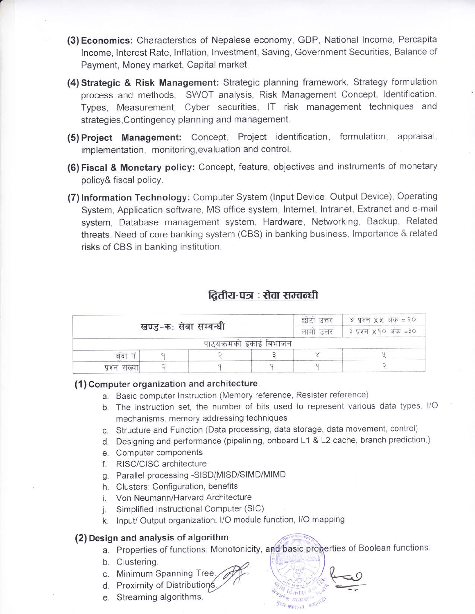- (3) Economics: Characterstics of Nepalese economy, GDP, National lncome, Percapita lncome, lnterest Rate, lnflation, lnvestment, Saving, Government Securities, Balance of Payment, Money market, Capital market.
- (4) Strategic & Risk Management: Strategic planning framework, Strategy formulation process and methods, SWOT analysis, Risk Management Concept, ldentification, Types, Measurement, Cyber securities, lT risk management techniques and strategies, Contingency planning and management.
- (5) Project Management: Concept, Project identification, formulation, appraisal, implementation, monitoring,evaluation and control.
- (6) Fiscal & Monetary policy: Concept, feature, objectives and instruments of monetary policy& fiscal policy.
- (7) lnformation Technology: Computer System (lnput Device, Output Device), Operating System, Application software, MS office system, lnternet, lntranet, Extranet and e-mail system, Database management system, Hardware, Networking, Backup, Related threats. Need of core banking system (CBS) in banking business, lmportance & related risks of CBS in banking institution.

# द्वितीय-पत्र : सेवा सम्वन्धी

|               | खण्ड-कः सेवा सम्वन्धी | छाटा उत्तर             | ४ प्रश्न XX अंक = २०  |  |  |
|---------------|-----------------------|------------------------|-----------------------|--|--|
|               |                       | लामा उत्तर             | ३ प्रश्न x 90 अंक =३० |  |  |
|               |                       | पाठयक्रमको इकाई बिभाजन |                       |  |  |
| बंदा न        |                       |                        |                       |  |  |
| प्रश्न संख्या |                       |                        |                       |  |  |

#### (1) Gomputer organization and architecture

- a. Basic computer lnstruction (Memory reference, Resister reference)
- b. The instruction set, the number of bits used to represent various data types, l/O mechanisms, memory addressing techniques
- c. Structure and Function (Data processing, data storage, data movement, control)
- Designing and performance (pipelining, onboard L1 & L2 cache, branch prediction,)
- Computer components
- RISC/CISC architecture
- Parallel processing -SISD/MISD/SIMD/MIMD
- Clusters: Configuration, benefits
- Von Neumann/Harvard Architecture
- Simplified lnstructional Computer (SlC) Ť.
- k. Input/ Output organization: I/O module function, I/O mapping

### (2) Design and analysis of algorithm

a. Properties of functions: Monotonicity, and basic properties of Boolean functions.

Inment<sub>o</sub>

 $\mathbb{R}^n$  ,  $\mathbb{R}^n$  .

 $\frac{1}{2}$ 

- b. Clustering.
- c. Minimum Spanning Tree
- d. Proximity of Distributions
- e. Streaming algorithms.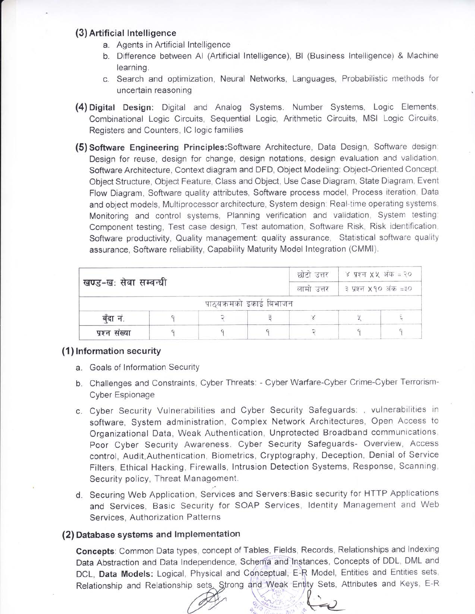#### (3) Artificial lntel ligence

- a. Agents in Artificial lntelligence
- b. Difference between Al (Artificial lntelligence), Bl (Business lntelligence) & Machine learning.
- c. Search and optimization, Neural Networks, Languages, Probabilistic methods for uncertain reasoning
- (4) Digital Design: Digital and Analog Systems. Number Systems, Logic Elements, Combinational Logic Circuits, Sequential Logic, Arithmetic Circuits, MSI Logic Circuits, Registers and Counters, lC logic families
- (5) Software Engineering Principles:Software Architecture, Data Design, Software design: Design for reuse, design for change, design notations, design evaluation and validation, Software Architecture, Context diagram and DFD, Object Modeling: Object-Oriented Concept, Object Structure, Object Feature, Class and Object, Use Case Diagram, State Diagram, Event Flow Diagram, Software quality attributes, Software process model, Process iteration, Data and object models, Multiprocessor architecture, System design: Real-time operating systems, Monitoring and control systems, Planning verification and validation, System testing: Component testing, Test case design, Test automation, Software Risk, Risk identification, Software productivity, Quality management: quality assurance, Statistical software quality assurance, Software reliability, Capability Maturity Model lntegration (CMMI).

|                       | छोटो उत्तर             | ४ प्रश्न XX अंक = २०<br>। ३ प्रश्न x 90 अंक =३० |  |  |  |
|-----------------------|------------------------|-------------------------------------------------|--|--|--|
| खण्ड-खः सेवा सम्वन्धी | लामा उत्तर             |                                                 |  |  |  |
|                       | पाठयक्रमको इकाई बिभाजन |                                                 |  |  |  |
| बँदा नं.              |                        |                                                 |  |  |  |
| प्रश्न संख्या         |                        |                                                 |  |  |  |

#### (1 ) lnformation security

- a. Goals of lnformation Security
- b. Challenges and Constraints, Cyber Threats: Cyber Warfare-Cyber Crime-Cyber Terrorism-Cyber Espionage
- c. Cyber Security Vulnerabilities and Cyber Security Safeguards: , vulnerabilities in software, System administration, Complex Network Architectures, Open Access to Organizational Data, Weak Authentication, Unprotected Broadband communications, Poor Cyber Security Awareness. Cyber Security Safeguards- Overview, Access control, Audit, Authentication, Biometrics, Cryptography, Deception, Denial of Service Filters, Ethical Hacking, Firewalls, lntrusion Detection Systems, Response, Scanning, Security policy, Threat Management.
- d. Securing Web Application, Services and Servers:Basic security for HTTP Applications and Services, Basic Security for SOAP Services, ldentity Management and Web Services, Authorization Patterns

#### (2) Database systems and lmplementation

Concepts: Common Data types, concept of Tables, Fields, Records, Relationships and Indexing Data Abstraction and Data Independence, Schema and Instances, Concepts of DDL, DML and DCL, Data Models: Logical, Physical and Conceptual, E-R Model, Entities and Entities sets, Relationship and Relationship sets. Strong and Weak Entity Sets, Attributes and Keys, E-R

 $\stackrel{\textstyle\sim}{\sim}$